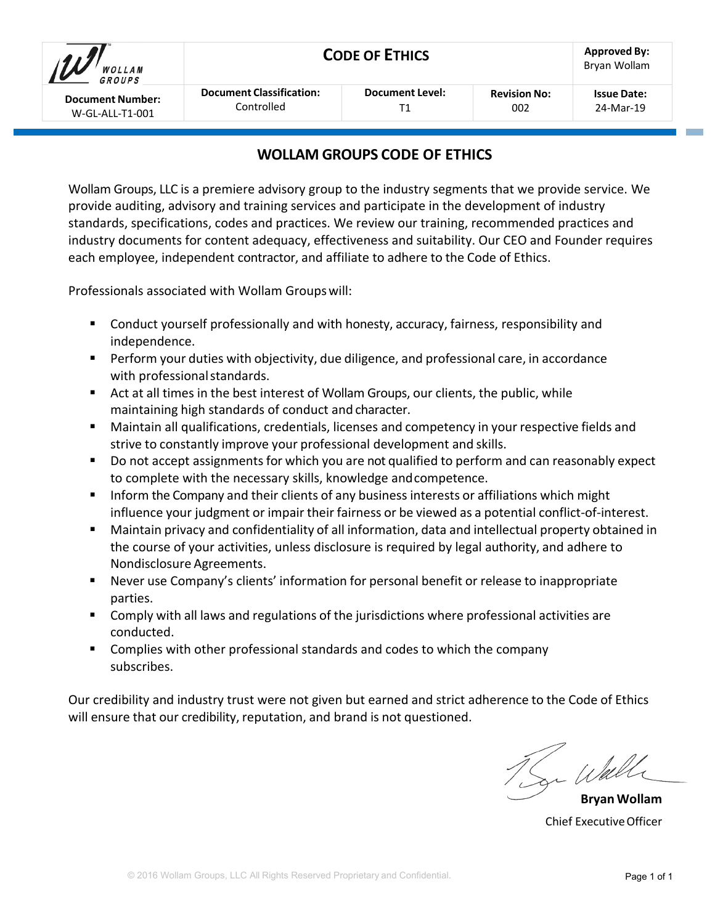| WOLLAM<br>GROUPS        | <b>CODE OF ETHICS</b>           | <b>Approved By:</b><br>Bryan Wollam |                     |                    |
|-------------------------|---------------------------------|-------------------------------------|---------------------|--------------------|
| <b>Document Number:</b> | <b>Document Classification:</b> | Document Level:                     | <b>Revision No:</b> | <b>Issue Date:</b> |
| W-GL-ALL-T1-001         | Controlled                      |                                     | 002                 | 24-Mar-19          |

# **WOLLAM GROUPS CODE OF ETHICS**

Wollam Groups, LLC is a premiere advisory group to the industry segments that we provide service. We provide auditing, advisory and training services and participate in the development of industry standards, specifications, codes and practices. We review our training, recommended practices and industry documents for content adequacy, effectiveness and suitability. Our CEO and Founder requires each employee, independent contractor, and affiliate to adhere to the Code of Ethics.

Professionals associated with Wollam Groups will:

- **EXT** Conduct yourself professionally and with honesty, accuracy, fairness, responsibility and independence.
- **Perform your duties with objectivity, due diligence, and professional care, in accordance** with professional standards.
- Act at all times in the best interest of Wollam Groups, our clients, the public, while maintaining high standards of conduct and character.
- Maintain all qualifications, credentials, licenses and competency in your respective fields and strive to constantly improve your professional development and skills.
- Do not accept assignments for which you are not qualified to perform and can reasonably expect to complete with the necessary skills, knowledge andcompetence.
- Inform the Company and their clients of any business interests or affiliations which might influence your judgment or impair their fairness or be viewed as a potential conflict-of-interest.
- Maintain privacy and confidentiality of all information, data and intellectual property obtained in the course of your activities, unless disclosure is required by legal authority, and adhere to Nondisclosure Agreements.
- Never use Company's clients' information for personal benefit or release to inappropriate parties.
- Comply with all laws and regulations of the jurisdictions where professional activities are conducted.
- Complies with other professional standards and codes to which the company subscribes.

Our credibility and industry trust were not given but earned and strict adherence to the Code of Ethics will ensure that our credibility, reputation, and brand is not questioned.

u Wall

**Bryan Wollam** Chief ExecutiveOfficer